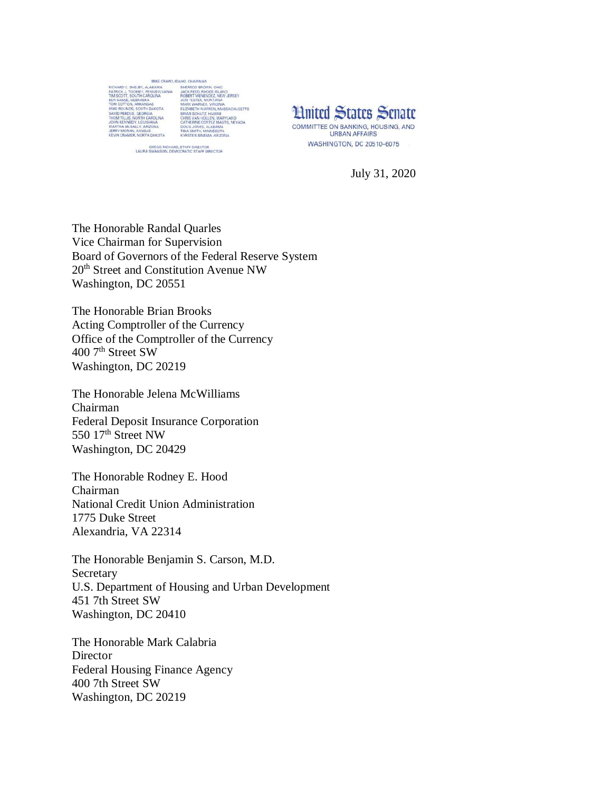

**Limited States Senate** COMMITTEE ON BANKING, HOUSING, AND **URBAN AFFAIRS WASHINGTON, DC 20510-6075** 

July 31, 2020

The Honorable Randal Quarles Vice Chairman for Supervision Board of Governors of the Federal Reserve System 20<sup>th</sup> Street and Constitution Avenue NW Washington, DC 20551

The Honorable Brian Brooks Acting Comptroller of the Currency Office of the Comptroller of the Currency 400 7<sup>th</sup> Street SW Washington, DC 20219

The Honorable Jelena McWilliams Chairman Federal Deposit Insurance Corporation 550 17<sup>th</sup> Street NW Washington, DC 20429

The Honorable Rodney E. Hood Chairman National Credit Union Administration 1775 Duke Street Alexandria, VA 22314

The Honorable Benjamin S. Carson, M.D. Secretary U.S. Department of Housing and Urban Development 451 7th Street SW Washington, DC 20410

The Honorable Mark Calabria **Director** Federal Housing Finance Agency 400 7th Street SW Washington, DC 20219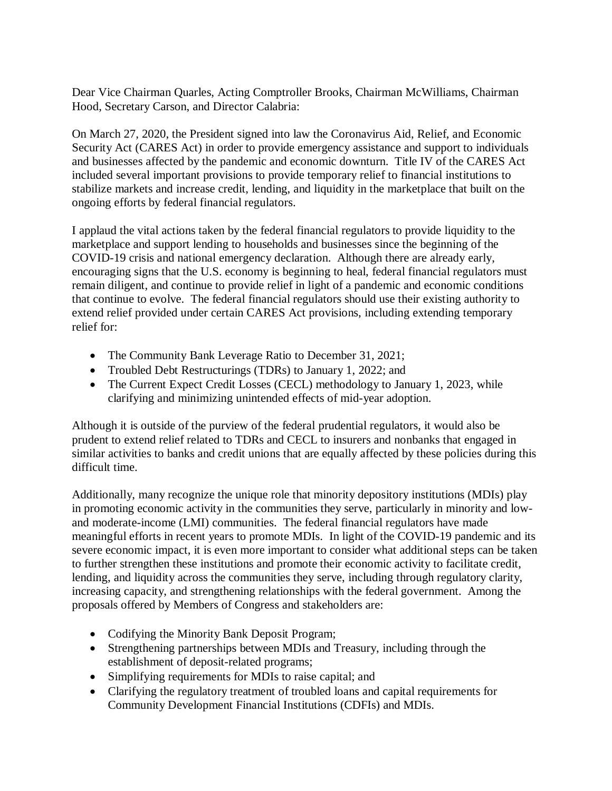Dear Vice Chairman Quarles, Acting Comptroller Brooks, Chairman McWilliams, Chairman Hood, Secretary Carson, and Director Calabria:

On March 27, 2020, the President signed into law the Coronavirus Aid, Relief, and Economic Security Act (CARES Act) in order to provide emergency assistance and support to individuals and businesses affected by the pandemic and economic downturn. Title IV of the CARES Act included several important provisions to provide temporary relief to financial institutions to stabilize markets and increase credit, lending, and liquidity in the marketplace that built on the ongoing efforts by federal financial regulators.

I applaud the vital actions taken by the federal financial regulators to provide liquidity to the marketplace and support lending to households and businesses since the beginning of the COVID-19 crisis and national emergency declaration. Although there are already early, encouraging signs that the U.S. economy is beginning to heal, federal financial regulators must remain diligent, and continue to provide relief in light of a pandemic and economic conditions that continue to evolve. The federal financial regulators should use their existing authority to extend relief provided under certain CARES Act provisions, including extending temporary relief for:

- The Community Bank Leverage Ratio to December 31, 2021;
- Troubled Debt Restructurings (TDRs) to January 1, 2022; and
- The Current Expect Credit Losses (CECL) methodology to January 1, 2023, while clarifying and minimizing unintended effects of mid-year adoption.

Although it is outside of the purview of the federal prudential regulators, it would also be prudent to extend relief related to TDRs and CECL to insurers and nonbanks that engaged in similar activities to banks and credit unions that are equally affected by these policies during this difficult time.

Additionally, many recognize the unique role that minority depository institutions (MDIs) play in promoting economic activity in the communities they serve, particularly in minority and lowand moderate-income (LMI) communities. The federal financial regulators have made meaningful efforts in recent years to promote MDIs. In light of the COVID-19 pandemic and its severe economic impact, it is even more important to consider what additional steps can be taken to further strengthen these institutions and promote their economic activity to facilitate credit, lending, and liquidity across the communities they serve, including through regulatory clarity, increasing capacity, and strengthening relationships with the federal government. Among the proposals offered by Members of Congress and stakeholders are:

- Codifying the Minority Bank Deposit Program;
- Strengthening partnerships between MDIs and Treasury, including through the establishment of deposit-related programs;
- Simplifying requirements for MDIs to raise capital; and
- Clarifying the regulatory treatment of troubled loans and capital requirements for Community Development Financial Institutions (CDFIs) and MDIs.